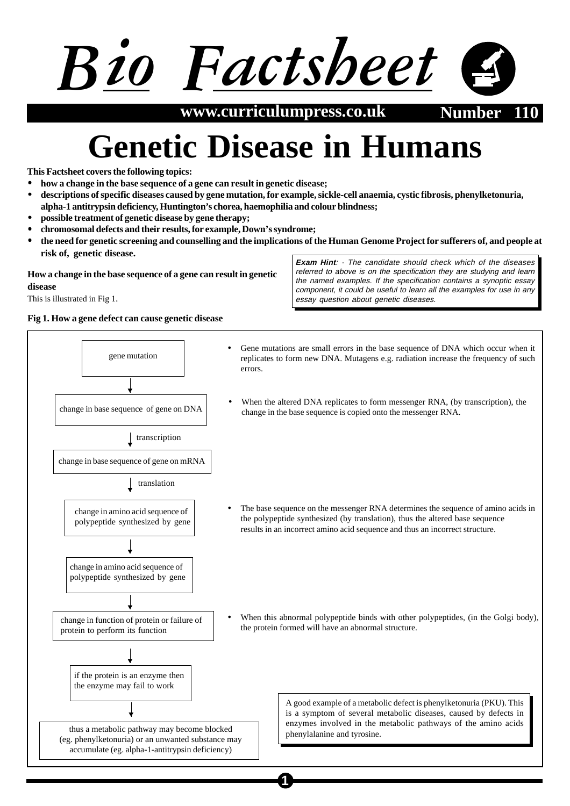# *Bio Factsheet*

**www.curriculumpress.co.uk Number** 

## **Genetic Disease in Humans**

**This Factsheet covers the following topics:**

- **how a change in the base sequence of a gene can result in genetic disease;**
- **descriptions of specific diseases caused by gene mutation, for example, sickle-cell anaemia, cystic fibrosis, phenylketonuria, alpha-1 antitrypsin deficiency, Huntington's chorea, haemophilia and colour blindness;**
- **possible treatment of genetic disease by gene therapy;**
- **chromosomal defects and their results, for example, Down's syndrome;**
- **the need for genetic screening and counselling and the implications of the Human Genome Project for sufferers of, and people at risk of, genetic disease.**

#### **How a change in the base sequence of a gene can result in genetic disease**

This is illustrated in Fig 1.

**Fig 1. How a gene defect can cause genetic disease**

**Exam Hint**: - The candidate should check which of the diseases referred to above is on the specification they are studying and learn the named examples. If the specification contains a synoptic essay component, it could be useful to learn all the examples for use in any essay question about genetic diseases.

ene mutation • Gene mutations are small errors in the base sequence of DNA which occur when it<br>gene mutation increase the fragment of guch replicates to form new DNA. Mutagens e.g. radiation increase the frequency of such errors. change in base sequence of gene on DNA change in base sequence of gene on mRNA When the altered DNA replicates to form messenger RNA, (by transcription), the change in the base sequence is copied onto the messenger RNA. transcription change in amino acid sequence of polypeptide synthesized by gene | translation change in amino acid sequence of polypeptide synthesized by gene change in function of protein or failure of protein to perform its function if the protein is an enzyme then the enzyme may fail to work thus a metabolic pathway may become blocked (eg. phenylketonuria) or an unwanted substance may accumulate (eg. alpha-1-antitrypsin deficiency) The base sequence on the messenger RNA determines the sequence of amino acids in the polypeptide synthesized (by translation), thus the altered base sequence results in an incorrect amino acid sequence and thus an incorrect structure. When this abnormal polypeptide binds with other polypeptides, (in the Golgi body), the protein formed will have an abnormal structure. A good example of a metabolic defect is phenylketonuria (PKU). This is a symptom of several metabolic diseases, caused by defects in enzymes involved in the metabolic pathways of the amino acids phenylalanine and tyrosine.

**1**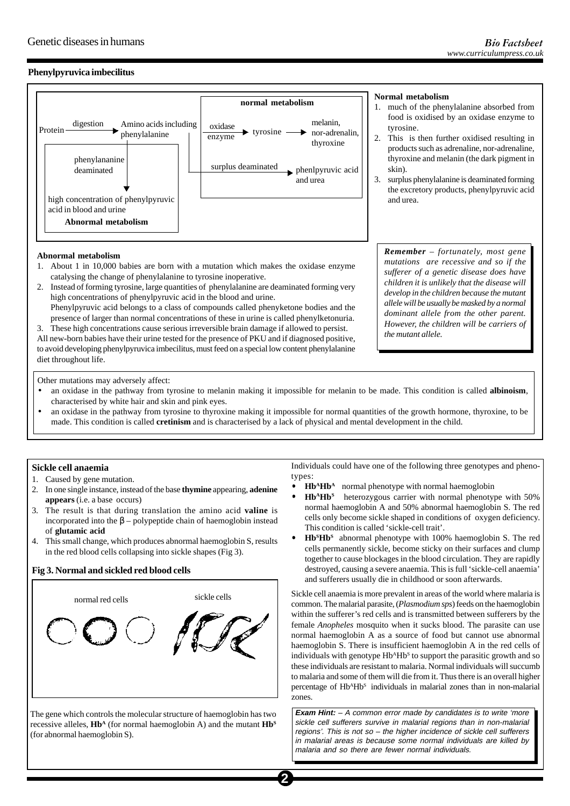#### **Phenylpyruvica imbecilitus**



### **Normal metabolism**

- 1. much of the phenylalanine absorbed from food is oxidised by an oxidase enzyme to tyrosine.
- 2. This is then further oxidised resulting in products such as adrenaline, nor-adrenaline, thyroxine and melanin (the dark pigment in skin).
- 3. surplus phenylalanine is deaminated forming the excretory products, phenylpyruvic acid

*Remember – fortunately, most gene mutations are recessive and so if the sufferer of a genetic disease does have children it is unlikely that the disease will develop in the children because the mutant allele will be usually be masked by a normal dominant allele from the other parent. However, the children will be carriers of*

#### **Abnormal metabolism**

- 1. About 1 in 10,000 babies are born with a mutation which makes the oxidase enzyme catalysing the change of phenylalanine to tyrosine inoperative.
- 2. Instead of forming tyrosine, large quantities of phenylalanine are deaminated forming very high concentrations of phenylpyruvic acid in the blood and urine. Phenylpyruvic acid belongs to a class of compounds called phenyketone bodies and the

presence of larger than normal concentrations of these in urine is called phenylketonuria.

3. These high concentrations cause serious irreversible brain damage if allowed to persist. All new-born babies have their urine tested for the presence of PKU and if diagnosed positive, to avoid developing phenylpyruvica imbecilitus, must feed on a special low content phenylalanine diet throughout life.

Other mutations may adversely affect:

- an oxidase in the pathway from tyrosine to melanin making it impossible for melanin to be made. This condition is called **albinoism**, characterised by white hair and skin and pink eyes.
- an oxidase in the pathway from tyrosine to thyroxine making it impossible for normal quantities of the growth hormone, thyroxine, to be made. This condition is called **cretinism** and is characterised by a lack of physical and mental development in the child.

#### **Sickle cell anaemia**

- 1. Caused by gene mutation.
- 2. In one single instance, instead of the base **thymine** appearing, **adenine appears** (i.e. a base occurs)
- 3. The result is that during translation the amino acid **valine** is incorporated into the  $\beta$  – polypeptide chain of haemoglobin instead of **glutamic acid**
- 4. This small change, which produces abnormal haemoglobin S, results in the red blood cells collapsing into sickle shapes (Fig 3).

#### **Fig 3. Normal and sickled red blood cells**



The gene which controls the molecular structure of haemoglobin has two recessive alleles, **Hb<sup>A</sup>** (for normal haemoglobin A) and the mutant **Hb<sup>s</sup>** (for abnormal haemoglobin S).

Individuals could have one of the following three genotypes and phenotypes:

*the mutant allele.*

- **Hb<sup>A</sup>Hb<sup>A</sup>** normal phenotype with normal haemoglobin
- **Hb<sup>A</sup>Hb<sup>S</sup>** heterozygous carrier with normal phenotype with 50% normal haemoglobin A and 50% abnormal haemoglobin S. The red cells only become sickle shaped in conditions of oxygen deficiency. This condition is called 'sickle-cell trait'.
- **HbSHbS** abnormal phenotype with 100% haemoglobin S. The red cells permanently sickle, become sticky on their surfaces and clump together to cause blockages in the blood circulation. They are rapidly destroyed, causing a severe anaemia. This is full 'sickle-cell anaemia' and sufferers usually die in childhood or soon afterwards.

Sickle cell anaemia is more prevalent in areas of the world where malaria is common. The malarial parasite, (*Plasmodium sps*) feeds on the haemoglobin within the sufferer's red cells and is transmitted between sufferers by the female *Anopheles* mosquito when it sucks blood. The parasite can use normal haemoglobin A as a source of food but cannot use abnormal haemoglobin S. There is insufficient haemoglobin A in the red cells of individuals with genotype Hb<sup>A</sup>Hb<sup>S</sup> to support the parasitic growth and so these individuals are resistant to malaria. Normal individuals will succumb to malaria and some of them will die from it. Thus there is an overall higher percentage of HbAHbS individuals in malarial zones than in non-malarial zones.

**Exam Hint:** – A common error made by candidates is to write 'more sickle cell sufferers survive in malarial regions than in non-malarial regions'. This is not so – the higher incidence of sickle cell sufferers in malarial areas is because some normal individuals are killed by malaria and so there are fewer normal individuals.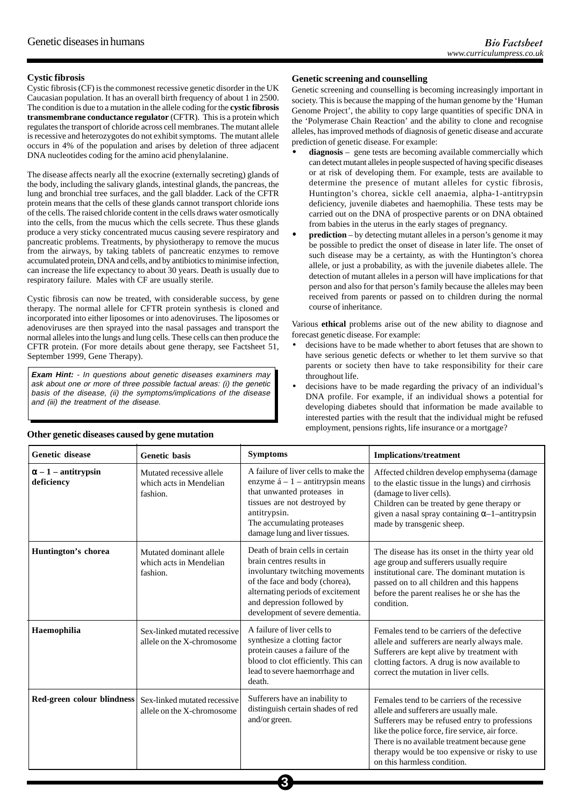#### **Cystic fibrosis**

Cystic fibrosis (CF) is the commonest recessive genetic disorder in the UK Caucasian population. It has an overall birth frequency of about 1 in 2500. The condition is due to a mutation in the allele coding for the **cystic fibrosis transmembrane conductance regulator** (CFTR). This is a protein which regulates the transport of chloride across cell membranes. The mutant allele is recessive and heterozygotes do not exhibit symptoms. The mutant allele occurs in 4% of the population and arises by deletion of three adjacent DNA nucleotides coding for the amino acid phenylalanine.

The disease affects nearly all the exocrine (externally secreting) glands of the body, including the salivary glands, intestinal glands, the pancreas, the lung and bronchial tree surfaces, and the gall bladder. Lack of the CFTR protein means that the cells of these glands cannot transport chloride ions of the cells. The raised chloride content in the cells draws water osmotically into the cells, from the mucus which the cells secrete. Thus these glands produce a very sticky concentrated mucus causing severe respiratory and pancreatic problems. Treatments, by physiotherapy to remove the mucus from the airways, by taking tablets of pancreatic enzymes to remove accumulated protein, DNA and cells, and by antibiotics to minimise infection, can increase the life expectancy to about 30 years. Death is usually due to respiratory failure. Males with CF are usually sterile.

Cystic fibrosis can now be treated, with considerable success, by gene therapy. The normal allele for CFTR protein synthesis is cloned and incorporated into either liposomes or into adenoviruses. The liposomes or adenoviruses are then sprayed into the nasal passages and transport the normal alleles into the lungs and lung cells. These cells can then produce the CFTR protein. (For more details about gene therapy, see Factsheet 51, September 1999, Gene Therapy).

**Exam Hint:** - In questions about genetic diseases examiners may ask about one or more of three possible factual areas: (i) the genetic basis of the disease, (ii) the symptoms/implications of the disease and (iii) the treatment of the disease.

#### **Genetic screening and counselling**

Genetic screening and counselling is becoming increasingly important in society. This is because the mapping of the human genome by the 'Human Genome Project', the ability to copy large quantities of specific DNA in the 'Polymerase Chain Reaction' and the ability to clone and recognise alleles, has improved methods of diagnosis of genetic disease and accurate prediction of genetic disease. For example:

- **diagnosis** gene tests are becoming available commercially which can detect mutant alleles in people suspected of having specific diseases or at risk of developing them. For example, tests are available to determine the presence of mutant alleles for cystic fibrosis, Huntington's chorea, sickle cell anaemia, alpha-1-antitrypsin deficiency, juvenile diabetes and haemophilia. These tests may be carried out on the DNA of prospective parents or on DNA obtained from babies in the uterus in the early stages of pregnancy.
- **prediction** by detecting mutant alleles in a person's genome it may be possible to predict the onset of disease in later life. The onset of such disease may be a certainty, as with the Huntington's chorea allele, or just a probability, as with the juvenile diabetes allele. The detection of mutant alleles in a person will have implications for that person and also for that person's family because the alleles may been received from parents or passed on to children during the normal course of inheritance.

Various **ethical** problems arise out of the new ability to diagnose and forecast genetic disease. For example:

- decisions have to be made whether to abort fetuses that are shown to have serious genetic defects or whether to let them survive so that parents or society then have to take responsibility for their care throughout life.
- decisions have to be made regarding the privacy of an individual's DNA profile. For example, if an individual shows a potential for developing diabetes should that information be made available to interested parties with the result that the individual might be refused employment, pensions rights, life insurance or a mortgage?

| <b>Genetic disease</b>                   | <b>Genetic basis</b>                                            | <b>Symptoms</b>                                                                                                                                                                                                                        | <b>Implications/treatment</b>                                                                                                                                                                                                                                                                                               |
|------------------------------------------|-----------------------------------------------------------------|----------------------------------------------------------------------------------------------------------------------------------------------------------------------------------------------------------------------------------------|-----------------------------------------------------------------------------------------------------------------------------------------------------------------------------------------------------------------------------------------------------------------------------------------------------------------------------|
| $\alpha - 1$ – antitrypsin<br>deficiency | Mutated recessive allele<br>which acts in Mendelian<br>fashion. | A failure of liver cells to make the<br>enzyme $\acute{a}$ – 1 – antitrypsin means<br>that unwanted proteases in<br>tissues are not destroyed by<br>antitrypsin.<br>The accumulating proteases<br>damage lung and liver tissues.       | Affected children develop emphysema (damage<br>to the elastic tissue in the lungs) and cirrhosis<br>(damage to liver cells).<br>Children can be treated by gene therapy or<br>given a nasal spray containing $\alpha$ -1-antitrypsin<br>made by transgenic sheep.                                                           |
| Huntington's chorea                      | Mutated dominant allele<br>which acts in Mendelian<br>fashion.  | Death of brain cells in certain<br>brain centres results in<br>involuntary twitching movements<br>of the face and body (chorea),<br>alternating periods of excitement<br>and depression followed by<br>development of severe dementia. | The disease has its onset in the thirty year old<br>age group and sufferers usually require<br>institutional care. The dominant mutation is<br>passed on to all children and this happens<br>before the parent realises he or she has the<br>condition.                                                                     |
| Haemophilia                              | Sex-linked mutated recessive<br>allele on the X-chromosome      | A failure of liver cells to<br>synthesize a clotting factor<br>protein causes a failure of the<br>blood to clot efficiently. This can<br>lead to severe haemorrhage and<br>death.                                                      | Females tend to be carriers of the defective<br>allele and sufferers are nearly always male.<br>Sufferers are kept alive by treatment with<br>clotting factors. A drug is now available to<br>correct the mutation in liver cells.                                                                                          |
| Red-green colour blindness               | Sex-linked mutated recessive<br>allele on the X-chromosome      | Sufferers have an inability to<br>distinguish certain shades of red<br>and/or green.                                                                                                                                                   | Females tend to be carriers of the recessive<br>allele and sufferers are usually male.<br>Sufferers may be refused entry to professions<br>like the police force, fire service, air force.<br>There is no available treatment because gene<br>therapy would be too expensive or risky to use<br>on this harmless condition. |

**3**

#### **Other genetic diseases caused by gene mutation**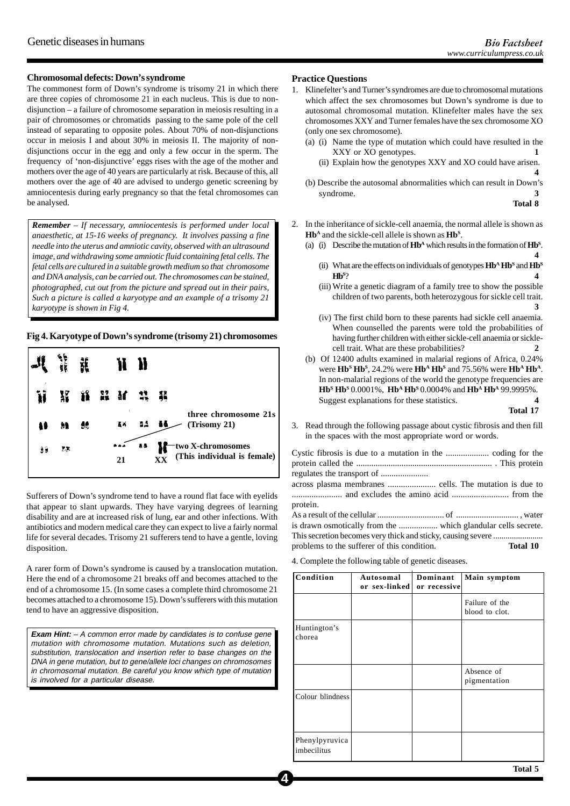#### **Chromosomal defects: Down's syndrome**

The commonest form of Down's syndrome is trisomy 21 in which there are three copies of chromosome 21 in each nucleus. This is due to nondisjunction – a failure of chromosome separation in meiosis resulting in a pair of chromosomes or chromatids passing to the same pole of the cell instead of separating to opposite poles. About 70% of non-disjunctions occur in meiosis I and about 30% in meiosis II. The majority of nondisjunctions occur in the egg and only a few occur in the sperm. The frequency of 'non-disjunctive' eggs rises with the age of the mother and mothers over the age of 40 years are particularly at risk. Because of this, all mothers over the age of 40 are advised to undergo genetic screening by amniocentesis during early pregnancy so that the fetal chromosomes can be analysed.

*Remember – If necessary, amniocentesis is performed under local anaesthetic, at 15-16 weeks of pregnancy. It involves passing a fine needle into the uterus and amniotic cavity, observed with an ultrasound image, and withdrawing some amniotic fluid containing fetal cells. The fetal cells are cultured in a suitable growth medium so that chromosome and DNA analysis, can be carried out. The chromosomes can be stained, photographed, cut out from the picture and spread out in their pairs, Such a picture is called a karyotype and an example of a trisomy 21 karyotype is shown in Fig 4.*

#### **Fig 4. Karyotype of Down's syndrome (trisomy 21) chromosomes**



Sufferers of Down's syndrome tend to have a round flat face with eyelids that appear to slant upwards. They have varying degrees of learning disability and are at increased risk of lung, ear and other infections. With antibiotics and modern medical care they can expect to live a fairly normal life for several decades. Trisomy 21 sufferers tend to have a gentle, loving disposition.

A rarer form of Down's syndrome is caused by a translocation mutation. Here the end of a chromosome 21 breaks off and becomes attached to the end of a chromosome 15. (In some cases a complete third chromosome 21 becomes attached to a chromosome 15). Down's sufferers with this mutation tend to have an aggressive disposition.

**Exam Hint:** – A common error made by candidates is to confuse gene mutation with chromosome mutation. Mutations such as deletion, substitution, translocation and insertion refer to base changes on the DNA in gene mutation, but to gene/allele loci changes on chromosomes in chromosomal mutation. Be careful you know which type of mutation is involved for a particular disease.

#### **Practice Questions**

- 1. Klinefelter's and Turner's syndromes are due to chromosomal mutations which affect the sex chromosomes but Down's syndrome is due to autosomal chromosomal mutation. Klinefelter males have the sex chromosomes XXY and Turner females have the sex chromosome XO (only one sex chromosome).
	- (a) (i) Name the type of mutation which could have resulted in the XXY or XO genotypes. **1**
		- (ii) Explain how the genotypes XXY and XO could have arisen. **4**
	- (b) Describe the autosomal abnormalities which can result in Down's syndrome. **3**

**Total 8**

- 2. In the inheritance of sickle-cell anaemia, the normal allele is shown as **HbA** and the sickle-cell allele is shown as **HbS** .
	- (a) (i) Describe the mutation of  $\mathbf{H}\mathbf{b}^{\mathbf{A}}$  which results in the formation of  $\mathbf{H}\mathbf{b}^{\mathbf{S}}$ . **4**
		- (ii) What are the effects on individuals of genotypes  $Hb^A Hb^S$  and  $Hb^S$  $Hb<sup>s</sup>$ ? ? **4**
		- (iii) Write a genetic diagram of a family tree to show the possible children of two parents, both heterozygous for sickle cell trait. **3**
		- (iv) The first child born to these parents had sickle cell anaemia. When counselled the parents were told the probabilities of having further children with either sickle-cell anaemia or sicklecell trait. What are these probabilities? **2**
	- (b) Of 12400 adults examined in malarial regions of Africa, 0.24% were **Hb<sup>s</sup> Hb<sup>s</sup>**, 24.2% were **Hb<sup>A</sup> Hb<sup>s</sup>** and 75.56% were **Hb<sup>A</sup> Hb<sup>A</sup>**. In non-malarial regions of the world the genotype frequencies are **HbS HbS** 0.0001%, **HbA HbS** 0.0004% and **HbA HbA** 99.9995%. Suggest explanations for these statistics. **4**

**Total 17**

3. Read through the following passage about cystic fibrosis and then fill in the spaces with the most appropriate word or words.

Cystic fibrosis is due to a mutation in the .................... coding for the protein called the ............................................................... . This protein regulates the transport of ...................... across plasma membranes ...................... cells. The mutation is due to ....................... and excludes the amino acid .......................... from the protein. As a result of the cellular ............................... of ............................. , water is drawn osmotically from the .................. which glandular cells secrete. This secretion becomes very thick and sticky, causing severe ........................ problems to the sufferer of this condition. **Total 10** 

4. Complete the following table of genetic diseases.

**4**

| Condition                     | Autosomal<br>or sex-linked | Dominant<br>or recessive | Main symptom                     |
|-------------------------------|----------------------------|--------------------------|----------------------------------|
|                               |                            |                          | Failure of the<br>blood to clot. |
| Huntington's<br>chorea        |                            |                          |                                  |
|                               |                            |                          | Absence of<br>pigmentation       |
| Colour blindness              |                            |                          |                                  |
| Phenylpyruvica<br>imbecilitus |                            |                          |                                  |